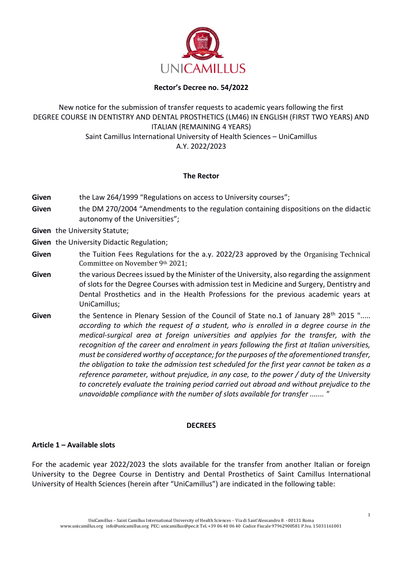

### **Rector's Decree no. 54/2022**

# New notice for the submission of transfer requests to academic years following the first DEGREE COURSE IN DENTISTRY AND DENTAL PROSTHETICS (LM46) IN ENGLISH (FIRST TWO YEARS) AND ITALIAN (REMAINING 4 YEARS) Saint Camillus International University of Health Sciences – UniCamillus A.Y. 2022/2023

### **The Rector**

- Given the Law 264/1999 "Regulations on access to University courses";
- **Given** the DM 270/2004 "Amendments to the regulation containing dispositions on the didactic autonomy of the Universities";
- **Given** the University Statute;
- **Given** the University Didactic Regulation;
- **Given** the Tuition Fees Regulations for the a.y. 2022/23 approved by the Organising Technical Committee on November 9th 2021;
- **Given** the various Decrees issued by the Minister of the University, also regarding the assignment of slots for the Degree Courses with admission test in Medicine and Surgery, Dentistry and Dental Prosthetics and in the Health Professions for the previous academic years at UniCamillus;
- Given the Sentence in Plenary Session of the Council of State no.1 of January 28<sup>th</sup> 2015 "..... *according to which the request of a student, who is enrolled in a degree course in the medical-surgical area at foreign universities and applyies for the transfer, with the recognition of the career and enrolment in years following the first at Italian universities, must be considered worthy of acceptance; for the purposes of the aforementioned transfer, the obligation to take the admission test scheduled for the first year cannot be taken as a reference parameter, without prejudice, in any case, to the power / duty of the University to concretely evaluate the training period carried out abroad and without prejudice to the unavoidable compliance with the number of slots available for transfer ....... "*

### **DECREES**

### **Article 1 – Available slots**

For the academic year 2022/2023 the slots available for the transfer from another Italian or foreign University to the Degree Course in Dentistry and Dental Prosthetics of Saint Camillus International University of Health Sciences (herein after "UniCamillus") are indicated in the following table: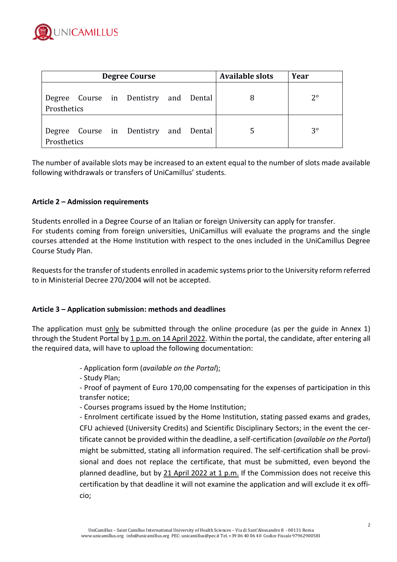

| <b>Degree Course</b> |  |  |                                       |  |  | <b>Available slots</b> | Year        |
|----------------------|--|--|---------------------------------------|--|--|------------------------|-------------|
| Prosthetics          |  |  | Degree Course in Dentistry and Dental |  |  |                        | $2^{\circ}$ |
| Prosthetics          |  |  | Degree Course in Dentistry and Dental |  |  |                        | $3^{\circ}$ |

The number of available slots may be increased to an extent equal to the number of slots made available following withdrawals or transfers of UniCamillus' students.

### **Article 2 – Admission requirements**

Students enrolled in a Degree Course of an Italian or foreign University can apply for transfer. For students coming from foreign universities, UniCamillus will evaluate the programs and the single courses attended at the Home Institution with respect to the ones included in the UniCamillus Degree Course Study Plan.

Requests for the transfer of students enrolled in academic systems prior to the University reform referred to in Ministerial Decree 270/2004 will not be accepted.

### **Article 3 – Application submission: methods and deadlines**

The application must only be submitted through the online procedure (as per the guide in Annex 1) through the Student Portal by 1 p.m. on 14 April 2022. Within the portal, the candidate, after entering all the required data, will have to upload the following documentation:

- Application form (*available on the Portal*);

- Study Plan;

- Proof of payment of Euro 170,00 compensating for the expenses of participation in this transfer notice;

- Courses programs issued by the Home Institution;

- Enrolment certificate issued by the Home Institution, stating passed exams and grades, CFU achieved (University Credits) and Scientific Disciplinary Sectors; in the event the certificate cannot be provided within the deadline, a self-certification (*available on the Portal*) might be submitted, stating all information required. The self-certification shall be provisional and does not replace the certificate, that must be submitted, even beyond the planned deadline, but by 21 April 2022 at 1 p.m. If the Commission does not receive this certification by that deadline it will not examine the application and will exclude it ex officio;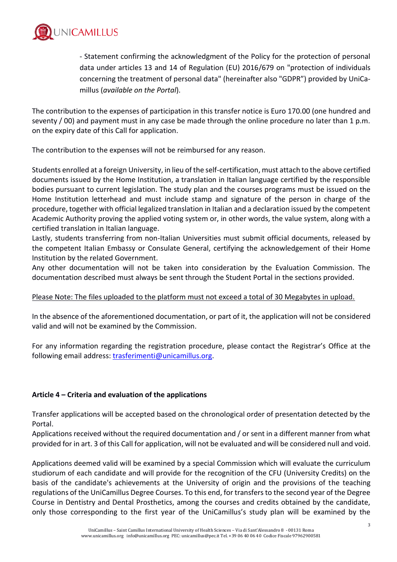

- Statement confirming the acknowledgment of the Policy for the protection of personal data under articles 13 and 14 of Regulation (EU) 2016/679 on "protection of individuals concerning the treatment of personal data" (hereinafter also "GDPR") provided by UniCamillus (*available on the Portal*).

The contribution to the expenses of participation in this transfer notice is Euro 170.00 (one hundred and seventy / 00) and payment must in any case be made through the online procedure no later than 1 p.m. on the expiry date of this Call for application.

The contribution to the expenses will not be reimbursed for any reason.

Students enrolled at a foreign University, in lieu of the self-certification, must attach to the above certified documents issued by the Home Institution, a translation in Italian language certified by the responsible bodies pursuant to current legislation. The study plan and the courses programs must be issued on the Home Institution letterhead and must include stamp and signature of the person in charge of the procedure, together with official legalized translation in Italian and a declaration issued by the competent Academic Authority proving the applied voting system or, in other words, the value system, along with a certified translation in Italian language.

Lastly, students transferring from non-Italian Universities must submit official documents, released by the competent Italian Embassy or Consulate General, certifying the acknowledgement of their Home Institution by the related Government.

Any other documentation will not be taken into consideration by the Evaluation Commission. The documentation described must always be sent through the Student Portal in the sections provided.

## Please Note: The files uploaded to the platform must not exceed a total of 30 Megabytes in upload.

In the absence of the aforementioned documentation, or part of it, the application will not be considered valid and will not be examined by the Commission.

For any information regarding the registration procedure, please contact the Registrar's Office at the following email address: [trasferimenti@unicamillus.org.](mailto:trasferimenti@unicamillus.org)

## **Article 4 – Criteria and evaluation of the applications**

Transfer applications will be accepted based on the chronological order of presentation detected by the Portal.

Applications received without the required documentation and / or sent in a different manner from what provided for in art. 3 of this Call for application, will not be evaluated and will be considered null and void.

Applications deemed valid will be examined by a special Commission which will evaluate the curriculum studiorum of each candidate and will provide for the recognition of the CFU (University Credits) on the basis of the candidate's achievements at the University of origin and the provisions of the teaching regulations of the UniCamillus Degree Courses. To this end, for transfers to the second year of the Degree Course in Dentistry and Dental Prosthetics, among the courses and credits obtained by the candidate, only those corresponding to the first year of the UniCamillus's study plan will be examined by the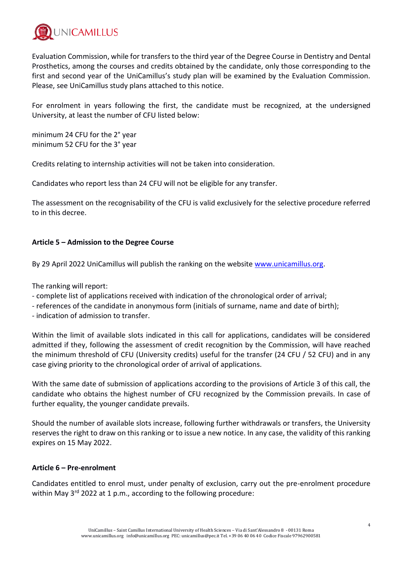

Evaluation Commission, while for transfers to the third year of the Degree Course in Dentistry and Dental Prosthetics, among the courses and credits obtained by the candidate, only those corresponding to the first and second year of the UniCamillus's study plan will be examined by the Evaluation Commission. Please, see UniCamillus study plans attached to this notice.

For enrolment in years following the first, the candidate must be recognized, at the undersigned University, at least the number of CFU listed below:

minimum 24 CFU for the 2° year minimum 52 CFU for the 3° year

Credits relating to internship activities will not be taken into consideration.

Candidates who report less than 24 CFU will not be eligible for any transfer.

The assessment on the recognisability of the CFU is valid exclusively for the selective procedure referred to in this decree.

## **Article 5 – Admission to the Degree Course**

By 29 April 2022 UniCamillus will publish the ranking on the website [www.unicamillus.org.](http://www.unicamillus.org/)

The ranking will report:

- complete list of applications received with indication of the chronological order of arrival;

- references of the candidate in anonymous form (initials of surname, name and date of birth);

- indication of admission to transfer.

Within the limit of available slots indicated in this call for applications, candidates will be considered admitted if they, following the assessment of credit recognition by the Commission, will have reached the minimum threshold of CFU (University credits) useful for the transfer (24 CFU / 52 CFU) and in any case giving priority to the chronological order of arrival of applications.

With the same date of submission of applications according to the provisions of Article 3 of this call, the candidate who obtains the highest number of CFU recognized by the Commission prevails. In case of further equality, the younger candidate prevails.

Should the number of available slots increase, following further withdrawals or transfers, the University reserves the right to draw on this ranking or to issue a new notice. In any case, the validity of this ranking expires on 15 May 2022.

### **Article 6 – Pre-enrolment**

Candidates entitled to enrol must, under penalty of exclusion, carry out the pre-enrolment procedure within May 3<sup>rd</sup> 2022 at 1 p.m., according to the following procedure: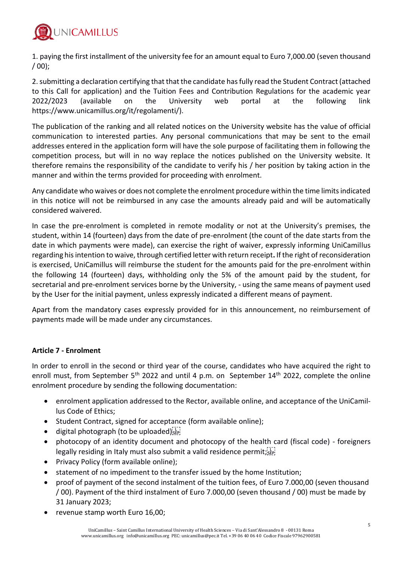

1. paying the first installment of the university fee for an amount equal to Euro 7,000.00 (seven thousand  $(00)$ :

2. submitting a declaration certifying that that the candidate has fully read the Student Contract (attached to this Call for application) and the Tuition Fees and Contribution Regulations for the academic year 2022/2023 (available on the University web portal at the following link https://www.unicamillus.org/it/regolamenti/).

The publication of the ranking and all related notices on the University website has the value of official communication to interested parties. Any personal communications that may be sent to the email addresses entered in the application form will have the sole purpose of facilitating them in following the competition process, but will in no way replace the notices published on the University website. It therefore remains the responsibility of the candidate to verify his / her position by taking action in the manner and within the terms provided for proceeding with enrolment.

Any candidate who waives or does not complete the enrolment procedure within the time limits indicated in this notice will not be reimbursed in any case the amounts already paid and will be automatically considered waivered.

In case the pre-enrolment is completed in remote modality or not at the University's premises, the student, within 14 (fourteen) days from the date of pre-enrolment (the count of the date starts from the date in which payments were made), can exercise the right of waiver, expressly informing UniCamillus regarding his intention to waive, through certified letter with return receipt**.** If the right of reconsideration is exercised, UniCamillus will reimburse the student for the amounts paid for the pre-enrolment within the following 14 (fourteen) days, withholding only the 5% of the amount paid by the student, for secretarial and pre-enrolment services borne by the University, - using the same means of payment used by the User for the initial payment, unless expressly indicated a different means of payment.

Apart from the mandatory cases expressly provided for in this announcement, no reimbursement of payments made will be made under any circumstances.

## **Article 7 - Enrolment**

In order to enroll in the second or third year of the course, candidates who have acquired the right to enroll must, from September 5<sup>th</sup> 2022 and until 4 p.m. on September 14<sup>th</sup> 2022, complete the online enrolment procedure by sending the following documentation:

- enrolment application addressed to the Rector, available online, and acceptance of the UniCamillus Code of Ethics;
- Student Contract, signed for acceptance (form available online);
- digital photograph (to be uploaded) $s_{\text{sep}}$
- photocopy of an identity document and photocopy of the health card (fiscal code) foreigners legally residing in Italy must also submit a valid residence permit;  $\sum_{i=1}^{n}$
- Privacy Policy (form available online);
- statement of no impediment to the transfer issued by the home Institution;
- proof of payment of the second instalment of the tuition fees, of Euro 7.000,00 (seven thousand / 00). Payment of the third instalment of Euro 7.000,00 (seven thousand / 00) must be made by 31 January 2023;
- revenue stamp worth Euro 16,00;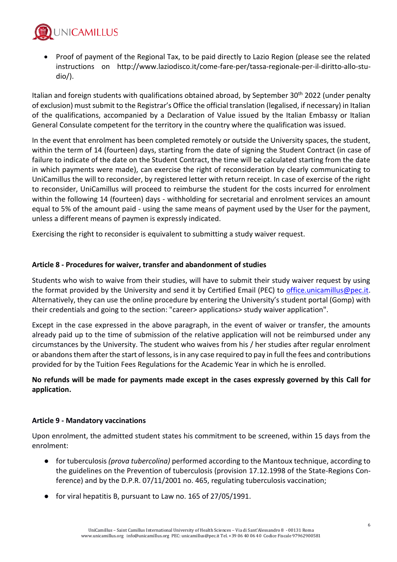

• Proof of payment of the Regional Tax, to be paid directly to Lazio Region (please see the related instructions on http://www.laziodisco.it/come-fare-per/tassa-regionale-per-il-diritto-allo-studio/).

Italian and foreign students with qualifications obtained abroad, by September 30<sup>th</sup> 2022 (under penalty of exclusion) must submit to the Registrar's Office the official translation (legalised, if necessary) in Italian of the qualifications, accompanied by a Declaration of Value issued by the Italian Embassy or Italian General Consulate competent for the territory in the country where the qualification was issued.

In the event that enrolment has been completed remotely or outside the University spaces, the student, within the term of 14 (fourteen) days, starting from the date of signing the Student Contract (in case of failure to indicate of the date on the Student Contract, the time will be calculated starting from the date in which payments were made), can exercise the right of reconsideration by clearly communicating to UniCamillus the will to reconsider, by registered letter with return receipt. In case of exercise of the right to reconsider, UniCamillus will proceed to reimburse the student for the costs incurred for enrolment within the following 14 (fourteen) days - withholding for secretarial and enrolment services an amount equal to 5% of the amount paid - using the same means of payment used by the User for the payment, unless a different means of paymen is expressly indicated.

Exercising the right to reconsider is equivalent to submitting a study waiver request.

### **Article 8 - Procedures for waiver, transfer and abandonment of studies**

Students who wish to waive from their studies, will have to submit their study waiver request by using the format provided by the University and send it by Certified Email (PEC) to [office.unicamillus@pec.it.](mailto:office.unicamillus@pec.it) Alternatively, they can use the online procedure by entering the University's student portal (Gomp) with their credentials and going to the section: "career> applications> study waiver application".

Except in the case expressed in the above paragraph, in the event of waiver or transfer, the amounts already paid up to the time of submission of the relative application will not be reimbursed under any circumstances by the University. The student who waives from his / her studies after regular enrolment or abandons them after the start of lessons, is in any case required to pay in full the fees and contributions provided for by the Tuition Fees Regulations for the Academic Year in which he is enrolled.

## **No refunds will be made for payments made except in the cases expressly governed by this Call for application.**

### **Article 9 - Mandatory vaccinations**

Upon enrolment, the admitted student states his commitment to be screened, within 15 days from the enrolment:

- for tuberculosis *(prova tubercolina)* performed according to the Mantoux technique, according to the guidelines on the Prevention of tuberculosis (provision 17.12.1998 of the State-Regions Conference) and by the D.P.R. 07/11/2001 no. 465, regulating tuberculosis vaccination;
- for viral hepatitis B, pursuant to Law no. 165 of  $27/05/1991$ .